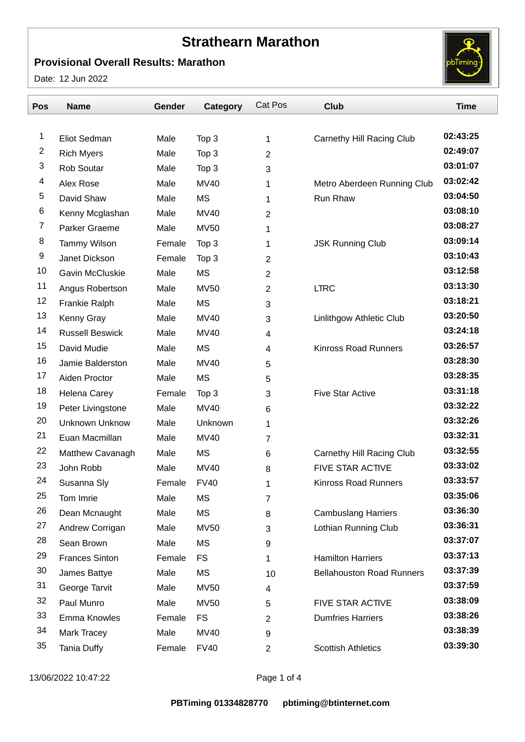## **Strathearn Marathon**

## **Provisional Overall Results: Marathon**

Date: 12 Jun 2022



| Pos | <b>Name</b>            | Gender | Category    | Cat Pos        | <b>Club</b>                      | <b>Time</b> |
|-----|------------------------|--------|-------------|----------------|----------------------------------|-------------|
|     |                        |        |             |                |                                  |             |
| 1   | Eliot Sedman           | Male   | Top 3       | 1              | Carnethy Hill Racing Club        | 02:43:25    |
| 2   | <b>Rich Myers</b>      | Male   | Top 3       | $\overline{2}$ |                                  | 02:49:07    |
| 3   | Rob Soutar             | Male   | Top 3       | 3              |                                  | 03:01:07    |
| 4   | Alex Rose              | Male   | <b>MV40</b> | 1              | Metro Aberdeen Running Club      | 03:02:42    |
| 5   | David Shaw             | Male   | <b>MS</b>   | 1              | Run Rhaw                         | 03:04:50    |
| 6   | Kenny Mcglashan        | Male   | <b>MV40</b> | $\overline{2}$ |                                  | 03:08:10    |
| 7   | Parker Graeme          | Male   | <b>MV50</b> | 1              |                                  | 03:08:27    |
| 8   | <b>Tammy Wilson</b>    | Female | Top 3       | 1              | <b>JSK Running Club</b>          | 03:09:14    |
| 9   | Janet Dickson          | Female | Top 3       | 2              |                                  | 03:10:43    |
| 10  | Gavin McCluskie        | Male   | <b>MS</b>   | 2              |                                  | 03:12:58    |
| 11  | Angus Robertson        | Male   | <b>MV50</b> | $\overline{2}$ | <b>LTRC</b>                      | 03:13:30    |
| 12  | Frankie Ralph          | Male   | <b>MS</b>   | 3              |                                  | 03:18:21    |
| 13  | Kenny Gray             | Male   | <b>MV40</b> | 3              | Linlithgow Athletic Club         | 03:20:50    |
| 14  | <b>Russell Beswick</b> | Male   | <b>MV40</b> | 4              |                                  | 03:24:18    |
| 15  | David Mudie            | Male   | <b>MS</b>   | 4              | <b>Kinross Road Runners</b>      | 03:26:57    |
| 16  | Jamie Balderston       | Male   | <b>MV40</b> | 5              |                                  | 03:28:30    |
| 17  | Aiden Proctor          | Male   | <b>MS</b>   | 5              |                                  | 03:28:35    |
| 18  | Helena Carey           | Female | Top 3       | 3              | <b>Five Star Active</b>          | 03:31:18    |
| 19  | Peter Livingstone      | Male   | <b>MV40</b> | 6              |                                  | 03:32:22    |
| 20  | <b>Unknown Unknow</b>  | Male   | Unknown     | 1              |                                  | 03:32:26    |
| 21  | Euan Macmillan         | Male   | <b>MV40</b> | 7              |                                  | 03:32:31    |
| 22  | Matthew Cavanagh       | Male   | <b>MS</b>   | 6              | Carnethy Hill Racing Club        | 03:32:55    |
| 23  | John Robb              | Male   | <b>MV40</b> | 8              | <b>FIVE STAR ACTIVE</b>          | 03:33:02    |
| 24  | Susanna Sly            | Female | <b>FV40</b> | 1              | <b>Kinross Road Runners</b>      | 03:33:57    |
| 25  | Tom Imrie              | Male   | <b>MS</b>   | 7              |                                  | 03:35:06    |
| 26  | Dean Mcnaught          | Male   | MS          | 8              | <b>Cambuslang Harriers</b>       | 03:36:30    |
| 27  | Andrew Corrigan        | Male   | <b>MV50</b> | 3              | Lothian Running Club             | 03:36:31    |
| 28  | Sean Brown             | Male   | <b>MS</b>   | 9              |                                  | 03:37:07    |
| 29  | <b>Frances Sinton</b>  | Female | <b>FS</b>   | 1              | <b>Hamilton Harriers</b>         | 03:37:13    |
| 30  | James Battye           | Male   | MS          | 10             | <b>Bellahouston Road Runners</b> | 03:37:39    |
| 31  | George Tarvit          | Male   | <b>MV50</b> | 4              |                                  | 03:37:59    |
| 32  | Paul Munro             | Male   | <b>MV50</b> | 5              | <b>FIVE STAR ACTIVE</b>          | 03:38:09    |
| 33  | <b>Emma Knowles</b>    | Female | <b>FS</b>   | $\overline{2}$ | <b>Dumfries Harriers</b>         | 03:38:26    |
| 34  | Mark Tracey            | Male   | <b>MV40</b> | 9              |                                  | 03:38:39    |
| 35  | <b>Tania Duffy</b>     | Female | <b>FV40</b> | 2              | <b>Scottish Athletics</b>        | 03:39:30    |

13/06/2022 10:47:22 Page 1 of 4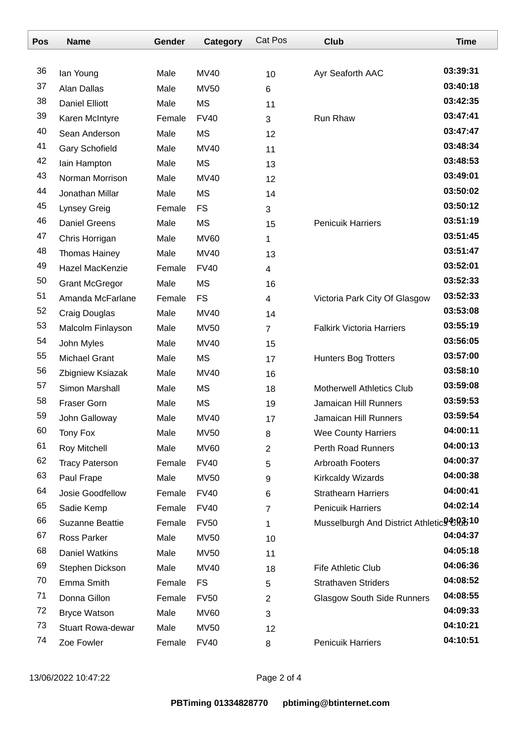| Pos | <b>Name</b>              | Gender | Category    | <b>Cat Pos</b> | <b>Club</b>                                            | <b>Time</b> |
|-----|--------------------------|--------|-------------|----------------|--------------------------------------------------------|-------------|
|     |                          |        |             |                |                                                        |             |
| 36  | lan Young                | Male   | <b>MV40</b> | 10             | Ayr Seaforth AAC                                       | 03:39:31    |
| 37  | Alan Dallas              | Male   | <b>MV50</b> | 6              |                                                        | 03:40:18    |
| 38  | <b>Daniel Elliott</b>    | Male   | <b>MS</b>   | 11             |                                                        | 03:42:35    |
| 39  | Karen McIntyre           | Female | <b>FV40</b> | 3              | Run Rhaw                                               | 03:47:41    |
| 40  | Sean Anderson            | Male   | <b>MS</b>   | 12             |                                                        | 03:47:47    |
| 41  | <b>Gary Schofield</b>    | Male   | <b>MV40</b> | 11             |                                                        | 03:48:34    |
| 42  | lain Hampton             | Male   | <b>MS</b>   | 13             |                                                        | 03:48:53    |
| 43  | Norman Morrison          | Male   | <b>MV40</b> | 12             |                                                        | 03:49:01    |
| 44  | Jonathan Millar          | Male   | <b>MS</b>   | 14             |                                                        | 03:50:02    |
| 45  | <b>Lynsey Greig</b>      | Female | <b>FS</b>   | 3              |                                                        | 03:50:12    |
| 46  | <b>Daniel Greens</b>     | Male   | <b>MS</b>   | 15             | <b>Penicuik Harriers</b>                               | 03:51:19    |
| 47  | Chris Horrigan           | Male   | <b>MV60</b> | 1              |                                                        | 03:51:45    |
| 48  | Thomas Hainey            | Male   | <b>MV40</b> | 13             |                                                        | 03:51:47    |
| 49  | Hazel MacKenzie          | Female | <b>FV40</b> | 4              |                                                        | 03:52:01    |
| 50  | <b>Grant McGregor</b>    | Male   | <b>MS</b>   | 16             |                                                        | 03:52:33    |
| 51  | Amanda McFarlane         | Female | <b>FS</b>   | 4              | Victoria Park City Of Glasgow                          | 03:52:33    |
| 52  | Craig Douglas            | Male   | <b>MV40</b> | 14             |                                                        | 03:53:08    |
| 53  | Malcolm Finlayson        | Male   | <b>MV50</b> | $\overline{7}$ | <b>Falkirk Victoria Harriers</b>                       | 03:55:19    |
| 54  | John Myles               | Male   | MV40        | 15             |                                                        | 03:56:05    |
| 55  | <b>Michael Grant</b>     | Male   | <b>MS</b>   | 17             | <b>Hunters Bog Trotters</b>                            | 03:57:00    |
| 56  | Zbigniew Ksiazak         | Male   | <b>MV40</b> | 16             |                                                        | 03:58:10    |
| 57  | Simon Marshall           | Male   | <b>MS</b>   | 18             | <b>Motherwell Athletics Club</b>                       | 03:59:08    |
| 58  | <b>Fraser Gorn</b>       | Male   | <b>MS</b>   | 19             | <b>Jamaican Hill Runners</b>                           | 03:59:53    |
| 59  | John Galloway            | Male   | <b>MV40</b> | 17             | Jamaican Hill Runners                                  | 03:59:54    |
| 60  | <b>Tony Fox</b>          | Male   | <b>MV50</b> | 8              | <b>Wee County Harriers</b>                             | 04:00:11    |
| 61  | Roy Mitchell             | Male   | <b>MV60</b> | $\overline{2}$ | Perth Road Runners                                     | 04:00:13    |
| 62  | <b>Tracy Paterson</b>    | Female | <b>FV40</b> | 5              | <b>Arbroath Footers</b>                                | 04:00:37    |
| 63  | Paul Frape               | Male   | <b>MV50</b> | 9              | Kirkcaldy Wizards                                      | 04:00:38    |
| 64  | Josie Goodfellow         | Female | <b>FV40</b> | 6              | <b>Strathearn Harriers</b>                             | 04:00:41    |
| 65  | Sadie Kemp               | Female | <b>FV40</b> | 7              | <b>Penicuik Harriers</b>                               | 04:02:14    |
| 66  | <b>Suzanne Beattie</b>   | Female | <b>FV50</b> | 1              | Musselburgh And District Athletic <sup>94</sup> 6R3510 |             |
| 67  | Ross Parker              | Male   | <b>MV50</b> | 10             |                                                        | 04:04:37    |
| 68  | <b>Daniel Watkins</b>    | Male   | <b>MV50</b> | 11             |                                                        | 04:05:18    |
| 69  | Stephen Dickson          | Male   | <b>MV40</b> | 18             | Fife Athletic Club                                     | 04:06:36    |
| 70  | Emma Smith               | Female | <b>FS</b>   | 5              | <b>Strathaven Striders</b>                             | 04:08:52    |
| 71  | Donna Gillon             | Female | <b>FV50</b> | $\overline{2}$ | <b>Glasgow South Side Runners</b>                      | 04:08:55    |
| 72  | <b>Bryce Watson</b>      | Male   | <b>MV60</b> | 3              |                                                        | 04:09:33    |
| 73  | <b>Stuart Rowa-dewar</b> | Male   | <b>MV50</b> | 12             |                                                        | 04:10:21    |
| 74  | Zoe Fowler               | Female | <b>FV40</b> | 8              | <b>Penicuik Harriers</b>                               | 04:10:51    |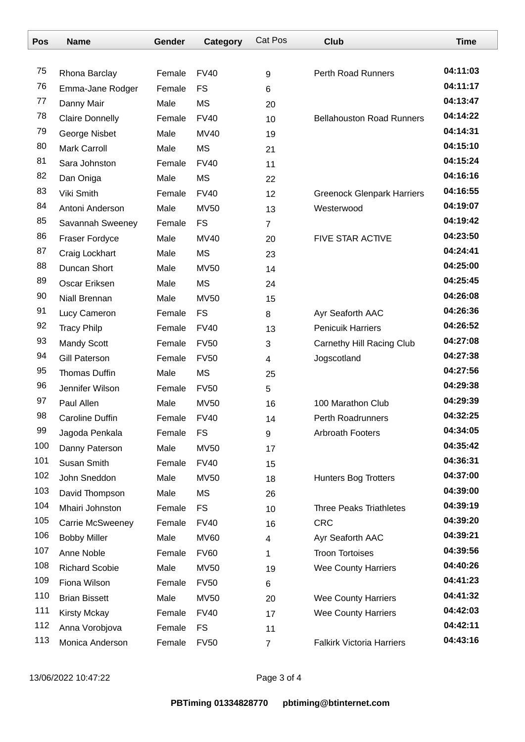| Pos | <b>Name</b>            | Gender | Category    | Cat Pos        | <b>Club</b>                       | <b>Time</b> |
|-----|------------------------|--------|-------------|----------------|-----------------------------------|-------------|
|     |                        |        |             |                |                                   |             |
| 75  | Rhona Barclay          | Female | <b>FV40</b> | 9              | Perth Road Runners                | 04:11:03    |
| 76  | Emma-Jane Rodger       | Female | <b>FS</b>   | 6              |                                   | 04:11:17    |
| 77  | Danny Mair             | Male   | <b>MS</b>   | 20             |                                   | 04:13:47    |
| 78  | <b>Claire Donnelly</b> | Female | <b>FV40</b> | 10             | <b>Bellahouston Road Runners</b>  | 04:14:22    |
| 79  | George Nisbet          | Male   | <b>MV40</b> | 19             |                                   | 04:14:31    |
| 80  | <b>Mark Carroll</b>    | Male   | <b>MS</b>   | 21             |                                   | 04:15:10    |
| 81  | Sara Johnston          | Female | <b>FV40</b> | 11             |                                   | 04:15:24    |
| 82  | Dan Oniga              | Male   | <b>MS</b>   | 22             |                                   | 04:16:16    |
| 83  | Viki Smith             | Female | <b>FV40</b> | 12             | <b>Greenock Glenpark Harriers</b> | 04:16:55    |
| 84  | Antoni Anderson        | Male   | <b>MV50</b> | 13             | Westerwood                        | 04:19:07    |
| 85  | Savannah Sweeney       | Female | <b>FS</b>   | $\overline{7}$ |                                   | 04:19:42    |
| 86  | <b>Fraser Fordyce</b>  | Male   | <b>MV40</b> | 20             | <b>FIVE STAR ACTIVE</b>           | 04:23:50    |
| 87  | Craig Lockhart         | Male   | <b>MS</b>   | 23             |                                   | 04:24:41    |
| 88  | Duncan Short           | Male   | <b>MV50</b> | 14             |                                   | 04:25:00    |
| 89  | Oscar Eriksen          | Male   | <b>MS</b>   | 24             |                                   | 04:25:45    |
| 90  | Niall Brennan          | Male   | <b>MV50</b> | 15             |                                   | 04:26:08    |
| 91  | Lucy Cameron           | Female | <b>FS</b>   | 8              | Ayr Seaforth AAC                  | 04:26:36    |
| 92  | <b>Tracy Philp</b>     | Female | <b>FV40</b> | 13             | <b>Penicuik Harriers</b>          | 04:26:52    |
| 93  | <b>Mandy Scott</b>     | Female | <b>FV50</b> | 3              | Carnethy Hill Racing Club         | 04:27:08    |
| 94  | <b>Gill Paterson</b>   | Female | <b>FV50</b> | 4              | Jogscotland                       | 04:27:38    |
| 95  | Thomas Duffin          | Male   | <b>MS</b>   | 25             |                                   | 04:27:56    |
| 96  | Jennifer Wilson        | Female | <b>FV50</b> | 5              |                                   | 04:29:38    |
| 97  | Paul Allen             | Male   | <b>MV50</b> | 16             | 100 Marathon Club                 | 04:29:39    |
| 98  | Caroline Duffin        | Female | <b>FV40</b> | 14             | <b>Perth Roadrunners</b>          | 04:32:25    |
| 99  | Jagoda Penkala         | Female | <b>FS</b>   | 9              | Arbroath Footers                  | 04:34:05    |
| 100 | Danny Paterson         | Male   | <b>MV50</b> | 17             |                                   | 04:35:42    |
| 101 | Susan Smith            | Female | <b>FV40</b> | 15             |                                   | 04:36:31    |
| 102 | John Sneddon           | Male   | <b>MV50</b> | 18             | <b>Hunters Bog Trotters</b>       | 04:37:00    |
| 103 | David Thompson         | Male   | <b>MS</b>   | 26             |                                   | 04:39:00    |
| 104 | Mhairi Johnston        | Female | <b>FS</b>   | 10             | <b>Three Peaks Triathletes</b>    | 04:39:19    |
| 105 | Carrie McSweeney       | Female | <b>FV40</b> | 16             | <b>CRC</b>                        | 04:39:20    |
| 106 | <b>Bobby Miller</b>    | Male   | <b>MV60</b> | 4              | Ayr Seaforth AAC                  | 04:39:21    |
| 107 | Anne Noble             | Female | <b>FV60</b> | 1              | <b>Troon Tortoises</b>            | 04:39:56    |
| 108 | <b>Richard Scobie</b>  | Male   | <b>MV50</b> | 19             | <b>Wee County Harriers</b>        | 04:40:26    |
| 109 | Fiona Wilson           | Female | <b>FV50</b> | 6              |                                   | 04:41:23    |
| 110 | <b>Brian Bissett</b>   | Male   | <b>MV50</b> | 20             | <b>Wee County Harriers</b>        | 04:41:32    |
| 111 | <b>Kirsty Mckay</b>    | Female | <b>FV40</b> | 17             | <b>Wee County Harriers</b>        | 04:42:03    |
| 112 | Anna Vorobjova         | Female | <b>FS</b>   | 11             |                                   | 04:42:11    |
| 113 | Monica Anderson        | Female | <b>FV50</b> | $\overline{7}$ | <b>Falkirk Victoria Harriers</b>  | 04:43:16    |